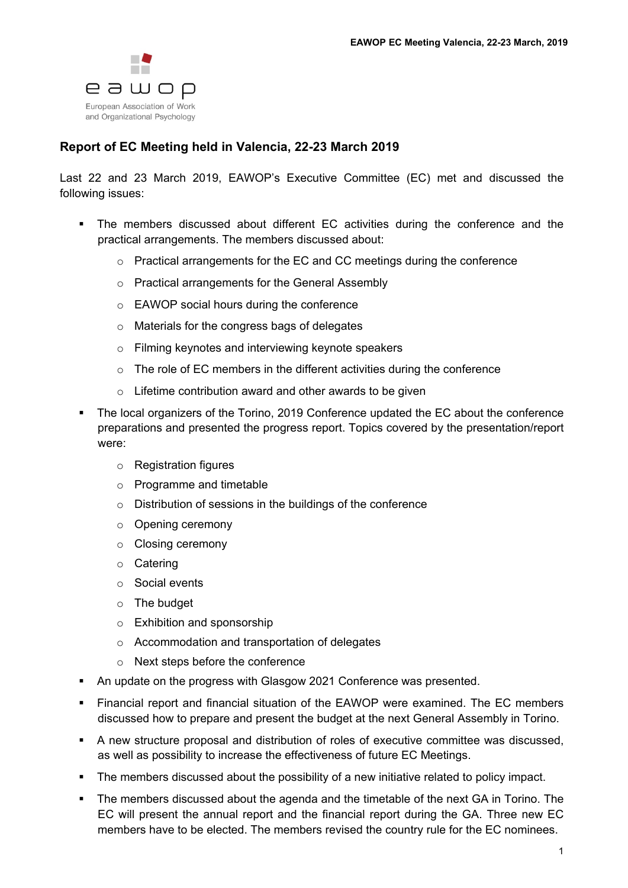

## **Report of EC Meeting held in Valencia, 22-23 March 2019**

Last 22 and 23 March 2019, EAWOP's Executive Committee (EC) met and discussed the following issues:

- The members discussed about different EC activities during the conference and the practical arrangements. The members discussed about:
	- o Practical arrangements for the EC and CC meetings during the conference
	- o Practical arrangements for the General Assembly
	- o EAWOP social hours during the conference
	- o Materials for the congress bags of delegates
	- o Filming keynotes and interviewing keynote speakers
	- o The role of EC members in the different activities during the conference
	- o Lifetime contribution award and other awards to be given
- The local organizers of the Torino, 2019 Conference updated the EC about the conference preparations and presented the progress report. Topics covered by the presentation/report were:
	- o Registration figures
	- o Programme and timetable
	- o Distribution of sessions in the buildings of the conference
	- o Opening ceremony
	- o Closing ceremony
	- o Catering
	- o Social events
	- o The budget
	- o Exhibition and sponsorship
	- o Accommodation and transportation of delegates
	- o Next steps before the conference
- An update on the progress with Glasgow 2021 Conference was presented.
- Financial report and financial situation of the EAWOP were examined. The EC members discussed how to prepare and present the budget at the next General Assembly in Torino.
- A new structure proposal and distribution of roles of executive committee was discussed, as well as possibility to increase the effectiveness of future EC Meetings.
- The members discussed about the possibility of a new initiative related to policy impact.
- The members discussed about the agenda and the timetable of the next GA in Torino. The EC will present the annual report and the financial report during the GA. Three new EC members have to be elected. The members revised the country rule for the EC nominees.